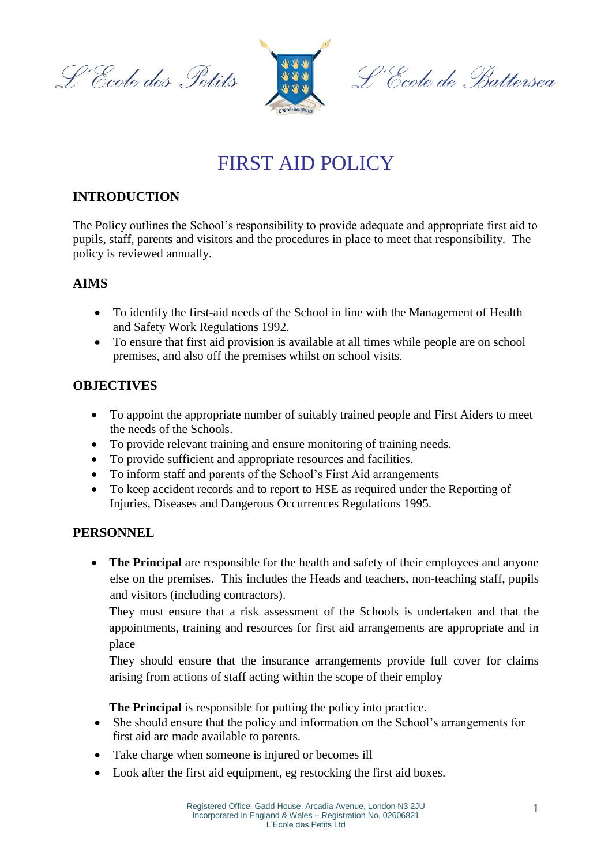L'Ecole des Petits



L'Ecole de Battersea

# FIRST AID POLICY

# **INTRODUCTION**

The Policy outlines the School's responsibility to provide adequate and appropriate first aid to pupils, staff, parents and visitors and the procedures in place to meet that responsibility. The policy is reviewed annually.

## **AIMS**

- To identify the first-aid needs of the School in line with the Management of Health and Safety Work Regulations 1992.
- To ensure that first aid provision is available at all times while people are on school premises, and also off the premises whilst on school visits.

## **OBJECTIVES**

- To appoint the appropriate number of suitably trained people and First Aiders to meet the needs of the Schools.
- To provide relevant training and ensure monitoring of training needs.
- To provide sufficient and appropriate resources and facilities.
- To inform staff and parents of the School's First Aid arrangements
- To keep accident records and to report to HSE as required under the Reporting of Injuries, Diseases and Dangerous Occurrences Regulations 1995.

## **PERSONNEL**

• **The Principal** are responsible for the health and safety of their employees and anyone else on the premises. This includes the Heads and teachers, non-teaching staff, pupils and visitors (including contractors).

They must ensure that a risk assessment of the Schools is undertaken and that the appointments, training and resources for first aid arrangements are appropriate and in place

They should ensure that the insurance arrangements provide full cover for claims arising from actions of staff acting within the scope of their employ

**The Principal** is responsible for putting the policy into practice.

- She should ensure that the policy and information on the School's arrangements for first aid are made available to parents.
- Take charge when someone is injured or becomes ill
- Look after the first aid equipment, eg restocking the first aid boxes.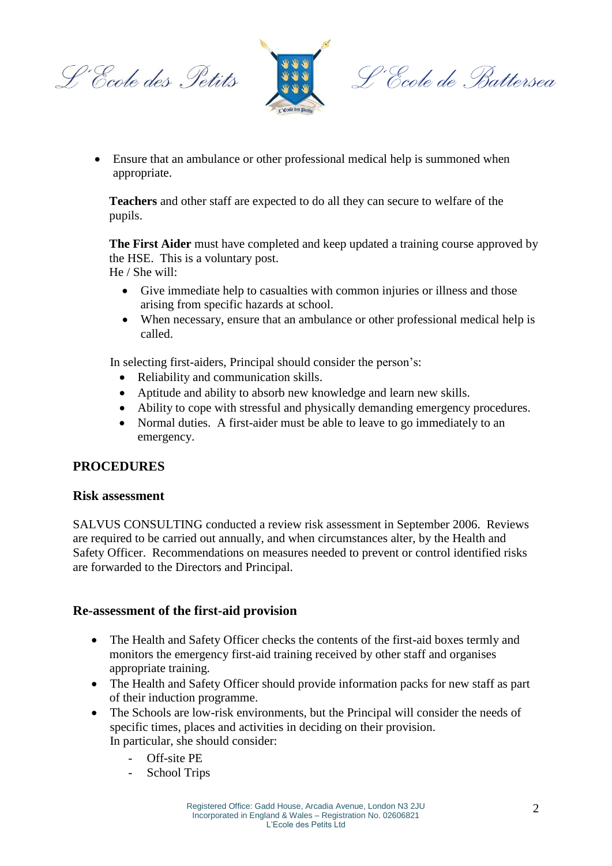L'Ecole des Petits



L'Ecole de Battersea

 Ensure that an ambulance or other professional medical help is summoned when appropriate.

**Teachers** and other staff are expected to do all they can secure to welfare of the pupils.

**The First Aider** must have completed and keep updated a training course approved by the HSE. This is a voluntary post. He / She will:

- Give immediate help to casualties with common injuries or illness and those arising from specific hazards at school.
- When necessary, ensure that an ambulance or other professional medical help is called.

In selecting first-aiders, Principal should consider the person's:

- Reliability and communication skills.
- Aptitude and ability to absorb new knowledge and learn new skills.
- Ability to cope with stressful and physically demanding emergency procedures.
- Normal duties. A first-aider must be able to leave to go immediately to an emergency.

#### **PROCEDURES**

#### **Risk assessment**

SALVUS CONSULTING conducted a review risk assessment in September 2006. Reviews are required to be carried out annually, and when circumstances alter, by the Health and Safety Officer. Recommendations on measures needed to prevent or control identified risks are forwarded to the Directors and Principal.

#### **Re-assessment of the first-aid provision**

- The Health and Safety Officer checks the contents of the first-aid boxes termly and monitors the emergency first-aid training received by other staff and organises appropriate training.
- The Health and Safety Officer should provide information packs for new staff as part of their induction programme.
- The Schools are low-risk environments, but the Principal will consider the needs of specific times, places and activities in deciding on their provision. In particular, she should consider:
	- Off-site PE
	- School Trips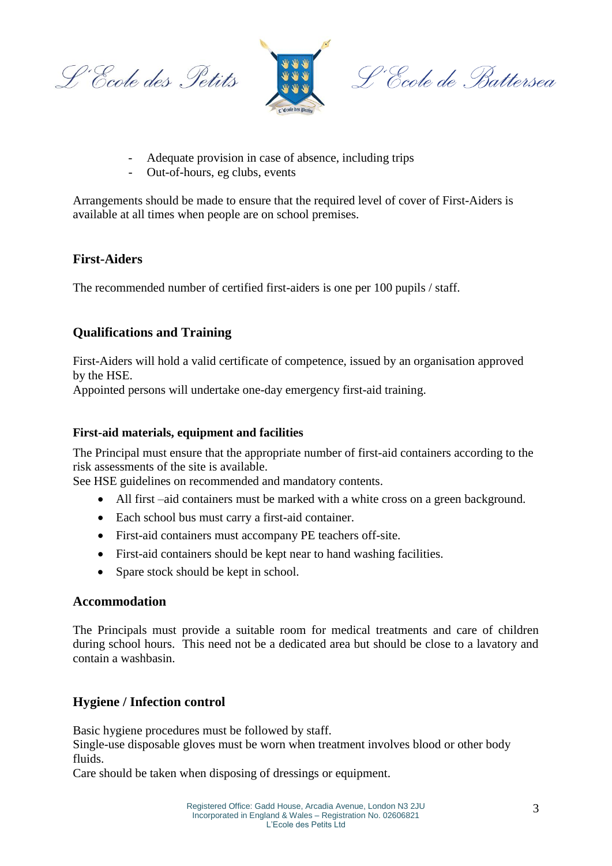L'Ecole des Petits



L'Ecole de Battersea

- Adequate provision in case of absence, including trips
- Out-of-hours, eg clubs, events

Arrangements should be made to ensure that the required level of cover of First-Aiders is available at all times when people are on school premises.

## **First-Aiders**

The recommended number of certified first-aiders is one per 100 pupils / staff.

# **Qualifications and Training**

First-Aiders will hold a valid certificate of competence, issued by an organisation approved by the HSE.

Appointed persons will undertake one-day emergency first-aid training.

#### **First-aid materials, equipment and facilities**

The Principal must ensure that the appropriate number of first-aid containers according to the risk assessments of the site is available.

See HSE guidelines on recommended and mandatory contents.

- All first –aid containers must be marked with a white cross on a green background.
- Each school bus must carry a first-aid container.
- First-aid containers must accompany PE teachers off-site.
- First-aid containers should be kept near to hand washing facilities.
- Spare stock should be kept in school.

#### **Accommodation**

The Principals must provide a suitable room for medical treatments and care of children during school hours. This need not be a dedicated area but should be close to a lavatory and contain a washbasin.

## **Hygiene / Infection control**

Basic hygiene procedures must be followed by staff.

Single-use disposable gloves must be worn when treatment involves blood or other body fluids.

Care should be taken when disposing of dressings or equipment.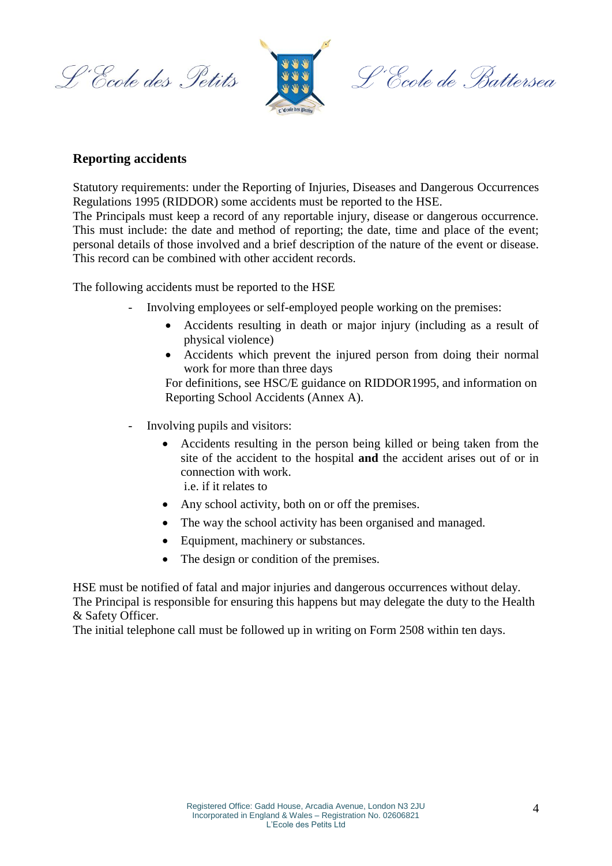L'Ecole des Petits



L'Ecole de Battersea

#### **Reporting accidents**

Statutory requirements: under the Reporting of Injuries, Diseases and Dangerous Occurrences Regulations 1995 (RIDDOR) some accidents must be reported to the HSE.

The Principals must keep a record of any reportable injury, disease or dangerous occurrence. This must include: the date and method of reporting; the date, time and place of the event; personal details of those involved and a brief description of the nature of the event or disease. This record can be combined with other accident records.

The following accidents must be reported to the HSE

- Involving employees or self-employed people working on the premises:
	- Accidents resulting in death or major injury (including as a result of physical violence)
	- Accidents which prevent the injured person from doing their normal work for more than three days

For definitions, see HSC/E guidance on RIDDOR1995, and information on Reporting School Accidents (Annex A).

- Involving pupils and visitors:
	- Accidents resulting in the person being killed or being taken from the site of the accident to the hospital **and** the accident arises out of or in connection with work.
		- i.e. if it relates to
	- Any school activity, both on or off the premises.
	- The way the school activity has been organised and managed.
	- Equipment, machinery or substances.
	- The design or condition of the premises.

HSE must be notified of fatal and major injuries and dangerous occurrences without delay. The Principal is responsible for ensuring this happens but may delegate the duty to the Health & Safety Officer.

The initial telephone call must be followed up in writing on Form 2508 within ten days.